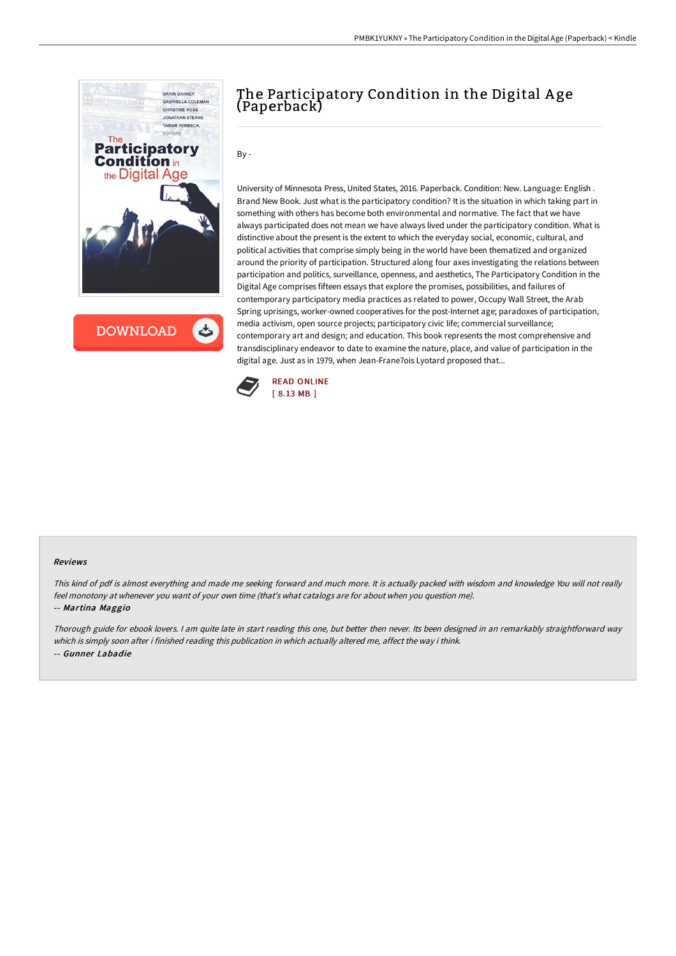

**DOWNLOAD**  $\mathbf{c}$ 

# The Participatory Condition in the Digital A ge (Paperback)

By -

University of Minnesota Press, United States, 2016. Paperback. Condition: New. Language: English . Brand New Book. Just what is the participatory condition? It is the situation in which taking part in something with others has become both environmental and normative. The fact that we have always participated does not mean we have always lived under the participatory condition. What is distinctive about the present is the extent to which the everyday social, economic, cultural, and political activities that comprise simply being in the world have been thematized and organized around the priority of participation. Structured along four axes investigating the relations between participation and politics, surveillance, openness, and aesthetics, The Participatory Condition in the Digital Age comprises fifteen essays that explore the promises, possibilities, and failures of contemporary participatory media practices as related to power, Occupy Wall Street, the Arab Spring uprisings, worker-owned cooperatives for the post-Internet age; paradoxes of participation, media activism, open source projects; participatory civic life; commercial surveillance; contemporary art and design; and education. This book represents the most comprehensive and transdisciplinary endeavor to date to examine the nature, place, and value of participation in the digital age. Just as in 1979, when Jean-Frane7ois Lyotard proposed that...



#### Reviews

This kind of pdf is almost everything and made me seeking forward and much more. It is actually packed with wisdom and knowledge You will not really feel monotony at whenever you want of your own time (that's what catalogs are for about when you question me). -- Martina Maggio

Thorough guide for ebook lovers. <sup>I</sup> am quite late in start reading this one, but better then never. Its been designed in an remarkably straightforward way which is simply soon after i finished reading this publication in which actually altered me, affect the way i think. -- Gunner Labadie